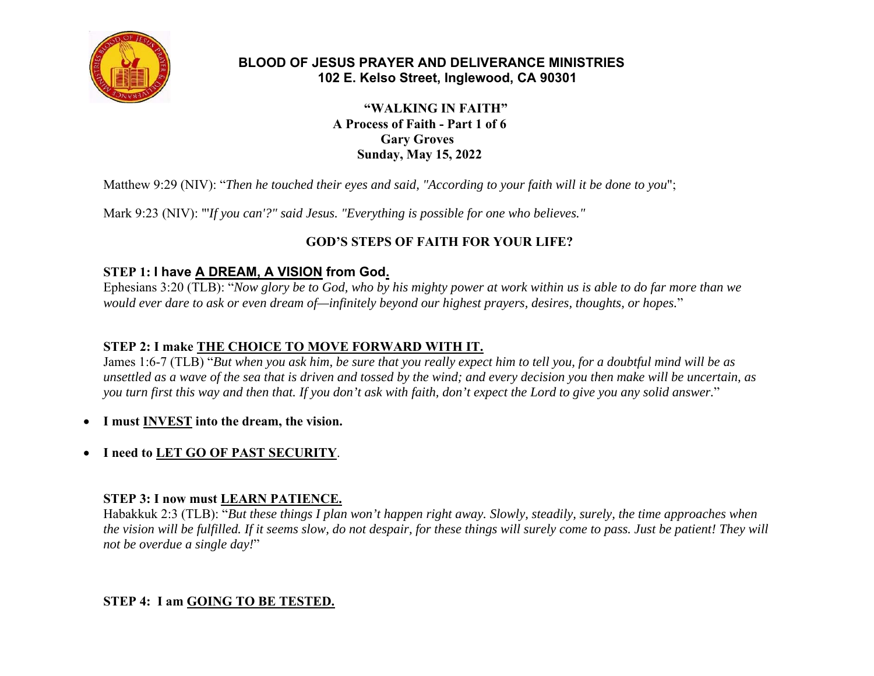

### **BLOOD OF JESUS PRAYER AND DELIVERANCE MINISTRIES 102 E. Kelso Street, Inglewood, CA 90301**

 **"WALKING IN FAITH" A Process of Faith - Part 1 of 6 Gary Groves Sunday, May 15, 2022** 

Matthew 9:29 (NIV): "*Then he touched their eyes and said, "According to your faith will it be done to you*";

Mark 9:23 (NIV): "'*If you can'?" said Jesus. "Everything is possible for one who believes."*

# **GOD'S STEPS OF FAITH FOR YOUR LIFE?**

## **STEP 1: I have A DREAM, A VISION from God.**

Ephesians 3:20 (TLB): "*Now glory be to God, who by his mighty power at work within us is able to do far more than we would ever dare to ask or even dream of—infinitely beyond our highest prayers, desires, thoughts, or hopes.*"

### **STEP 2: I make THE CHOICE TO MOVE FORWARD WITH IT.**

James 1:6-7 (TLB) "*But when you ask him, be sure that you really expect him to tell you, for a doubtful mind will be as unsettled as a wave of the sea that is driven and tossed by the wind; and every decision you then make will be uncertain, as you turn first this way and then that. If you don't ask with faith, don't expect the Lord to give you any solid answer.*"

- **I must INVEST into the dream, the vision.**
- $\bullet$ **I need to LET GO OF PAST SECURITY**.

### **STEP 3: I now must LEARN PATIENCE.**

Habakkuk 2:3 (TLB): "*But these things I plan won't happen right away. Slowly, steadily, surely, the time approaches when the vision will be fulfilled. If it seems slow, do not despair, for these things will surely come to pass. Just be patient! They will not be overdue a single day!*"

### **STEP 4: I am GOING TO BE TESTED.**